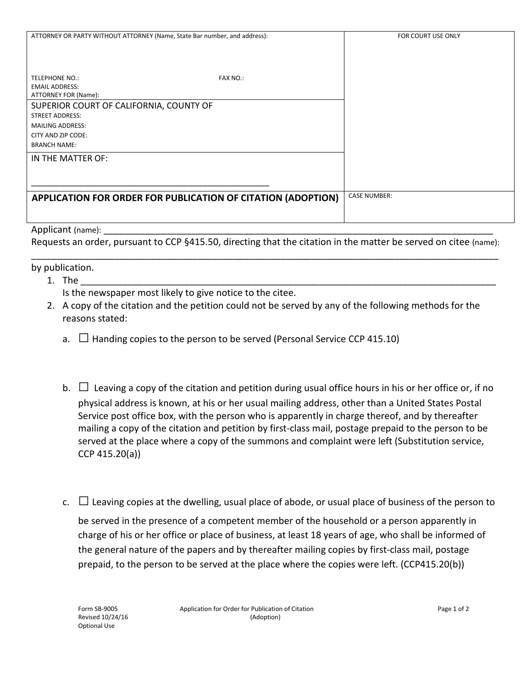| ATTORNEY OR PARTY WITHOUT ATTORNEY (Name, State Bar number, and address):                 |                 | FOR COURT USE ONLY  |
|-------------------------------------------------------------------------------------------|-----------------|---------------------|
|                                                                                           |                 |                     |
| TELEPHONE NO.:<br><b>EMAIL ADDRESS:</b>                                                   | <b>FAX NO.:</b> |                     |
| ATTORNEY FOR (Name):<br>SUPERIOR COURT OF CALIFORNIA, COUNTY OF<br><b>STREET ADDRESS:</b> |                 |                     |
| <b>MAILING ADDRESS:</b><br>CITY AND ZIP CODE:                                             |                 |                     |
| <b>BRANCH NAME:</b>                                                                       |                 |                     |
| IN THE MATTER OF:                                                                         |                 |                     |
|                                                                                           |                 |                     |
| APPLICATION FOR ORDER FOR PUBLICATION OF CITATION (ADOPTION)                              |                 | <b>CASE NUMBER:</b> |
|                                                                                           |                 |                     |

## Applicant (name):

Requests an order, pursuant to CCP §415.50, directing that the citation in the matter be served on citee (name): \_\_\_\_\_\_\_\_\_\_\_\_\_\_\_\_\_\_\_\_\_\_\_\_\_\_\_\_\_\_\_\_\_\_\_\_\_\_\_\_\_\_\_\_\_\_\_\_\_\_\_\_\_\_\_\_\_\_\_\_\_\_\_\_\_\_\_\_\_\_\_\_\_\_\_\_\_\_\_\_\_\_\_\_\_\_\_\_\_\_

by publication.

- 1. The \_\_\_\_\_\_\_\_\_\_\_\_\_\_\_\_\_\_\_\_\_\_\_\_\_\_\_\_\_\_\_\_\_\_\_\_\_\_\_\_\_\_\_\_\_\_\_\_\_\_\_\_\_\_\_\_\_\_\_\_\_\_\_\_\_\_\_\_\_\_\_\_\_\_\_\_\_\_\_\_ Is the newspaper most likely to give notice to the citee.
- 2. A copy of the citation and the petition could not be served by any of the following methods for the reasons stated:
	- a.  $\Box$  Handing copies to the person to be served (Personal Service CCP 415.10)
	- b.  $\Box$  Leaving a copy of the citation and petition during usual office hours in his or her office or, if no physical address is known, at his or her usual mailing address, other than a United States Postal Service post office box, with the person who is apparently in charge thereof, and by thereafter mailing a copy of the citation and petition by first-class mail, postage prepaid to the person to be served at the place where a copy of the summons and complaint were left (Substitution service, CCP 415.20(a))
	- c.  $\Box$  Leaving copies at the dwelling, usual place of abode, or usual place of business of the person to be served in the presence of a competent member of the household or a person apparently in charge of his or her office or place of business, at least 18 years of age, who shall be informed of the general nature of the papers and by thereafter mailing copies by first-class mail, postage prepaid, to the person to be served at the place where the copies were left. (CCP415.20(b))